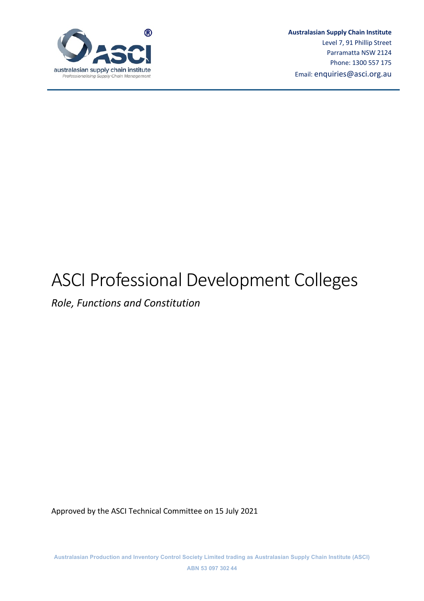

*Role, Functions and Constitution*

Approved by the ASCI Technical Committee on 15 July 2021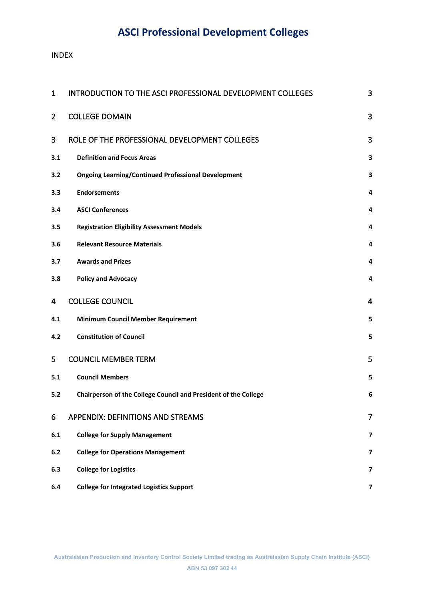#### INDEX

| 1              | INTRODUCTION TO THE ASCI PROFESSIONAL DEVELOPMENT COLLEGES      | 3                       |
|----------------|-----------------------------------------------------------------|-------------------------|
| $\overline{2}$ | <b>COLLEGE DOMAIN</b>                                           | 3                       |
| 3              | ROLE OF THE PROFESSIONAL DEVELOPMENT COLLEGES                   | 3                       |
| 3.1            | <b>Definition and Focus Areas</b>                               | 3                       |
| 3.2            | <b>Ongoing Learning/Continued Professional Development</b>      | 3                       |
| 3.3            | <b>Endorsements</b>                                             | 4                       |
| 3.4            | <b>ASCI Conferences</b>                                         | 4                       |
| 3.5            | <b>Registration Eligibility Assessment Models</b>               | 4                       |
| 3.6            | <b>Relevant Resource Materials</b>                              | 4                       |
| 3.7            | <b>Awards and Prizes</b>                                        | 4                       |
| 3.8            | <b>Policy and Advocacy</b>                                      | 4                       |
| 4              | <b>COLLEGE COUNCIL</b>                                          | $\overline{4}$          |
| 4.1            | <b>Minimum Council Member Requirement</b>                       | 5                       |
| 4.2            | <b>Constitution of Council</b>                                  | 5                       |
| 5              | <b>COUNCIL MEMBER TERM</b>                                      | 5                       |
| 5.1            | <b>Council Members</b>                                          | 5                       |
| 5.2            | Chairperson of the College Council and President of the College | 6                       |
| 6              | APPENDIX: DEFINITIONS AND STREAMS                               | 7                       |
| 6.1            | <b>College for Supply Management</b>                            | 7                       |
| 6.2            | <b>College for Operations Management</b>                        | 7                       |
| 6.3            | <b>College for Logistics</b>                                    | $\overline{\mathbf{z}}$ |
| 6.4            | <b>College for Integrated Logistics Support</b>                 | $\overline{\mathbf{z}}$ |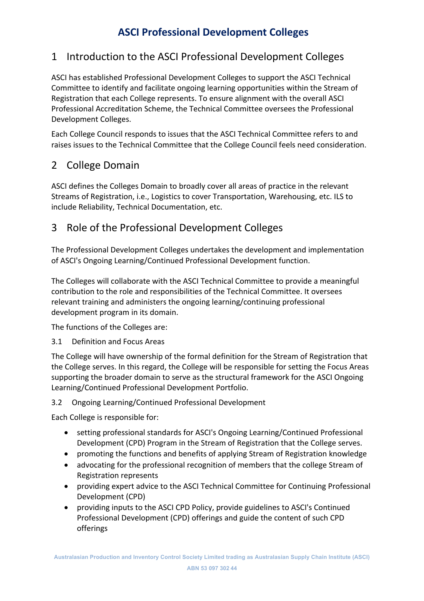# 1 Introduction to the ASCI Professional Development Colleges

ASCI has established Professional Development Colleges to support the ASCI Technical Committee to identify and facilitate ongoing learning opportunities within the Stream of Registration that each College represents. To ensure alignment with the overall ASCI Professional Accreditation Scheme, the Technical Committee oversees the Professional Development Colleges.

Each College Council responds to issues that the ASCI Technical Committee refers to and raises issues to the Technical Committee that the College Council feels need consideration.

# 2 College Domain

ASCI defines the Colleges Domain to broadly cover all areas of practice in the relevant Streams of Registration, i.e., Logistics to cover Transportation, Warehousing, etc. ILS to include Reliability, Technical Documentation, etc.

# 3 Role of the Professional Development Colleges

The Professional Development Colleges undertakes the development and implementation of ASCI's Ongoing Learning/Continued Professional Development function.

The Colleges will collaborate with the ASCI Technical Committee to provide a meaningful contribution to the role and responsibilities of the Technical Committee. It oversees relevant training and administers the ongoing learning/continuing professional development program in its domain.

The functions of the Colleges are:

## 3.1 Definition and Focus Areas

The College will have ownership of the formal definition for the Stream of Registration that the College serves. In this regard, the College will be responsible for setting the Focus Areas supporting the broader domain to serve as the structural framework for the ASCI Ongoing Learning/Continued Professional Development Portfolio.

## 3.2 Ongoing Learning/Continued Professional Development

Each College is responsible for:

- setting professional standards for ASCI's Ongoing Learning/Continued Professional Development (CPD) Program in the Stream of Registration that the College serves.
- promoting the functions and benefits of applying Stream of Registration knowledge
- advocating for the professional recognition of members that the college Stream of Registration represents
- providing expert advice to the ASCI Technical Committee for Continuing Professional Development (CPD)
- providing inputs to the ASCI CPD Policy, provide guidelines to ASCI's Continued Professional Development (CPD) offerings and guide the content of such CPD offerings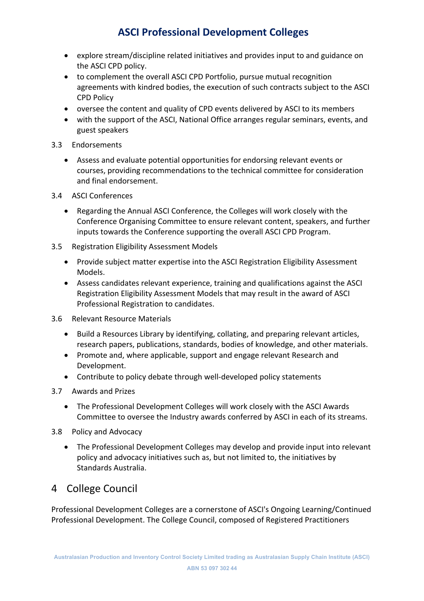- explore stream/discipline related initiatives and provides input to and guidance on the ASCI CPD policy.
- to complement the overall ASCI CPD Portfolio, pursue mutual recognition agreements with kindred bodies, the execution of such contracts subject to the ASCI CPD Policy
- oversee the content and quality of CPD events delivered by ASCI to its members
- with the support of the ASCI, National Office arranges regular seminars, events, and guest speakers
- 3.3 Endorsements
	- Assess and evaluate potential opportunities for endorsing relevant events or courses, providing recommendations to the technical committee for consideration and final endorsement.
- 3.4 ASCI Conferences
	- Regarding the Annual ASCI Conference, the Colleges will work closely with the Conference Organising Committee to ensure relevant content, speakers, and further inputs towards the Conference supporting the overall ASCI CPD Program.
- 3.5 Registration Eligibility Assessment Models
	- Provide subject matter expertise into the ASCI Registration Eligibility Assessment Models.
	- Assess candidates relevant experience, training and qualifications against the ASCI Registration Eligibility Assessment Models that may result in the award of ASCI Professional Registration to candidates.
- 3.6 Relevant Resource Materials
	- Build a Resources Library by identifying, collating, and preparing relevant articles, research papers, publications, standards, bodies of knowledge, and other materials.
	- Promote and, where applicable, support and engage relevant Research and Development.
	- Contribute to policy debate through well-developed policy statements
- 3.7 Awards and Prizes
	- The Professional Development Colleges will work closely with the ASCI Awards Committee to oversee the Industry awards conferred by ASCI in each of its streams.
- 3.8 Policy and Advocacy
	- The Professional Development Colleges may develop and provide input into relevant policy and advocacy initiatives such as, but not limited to, the initiatives by Standards Australia.

## 4 College Council

Professional Development Colleges are a cornerstone of ASCI's Ongoing Learning/Continued Professional Development. The College Council, composed of Registered Practitioners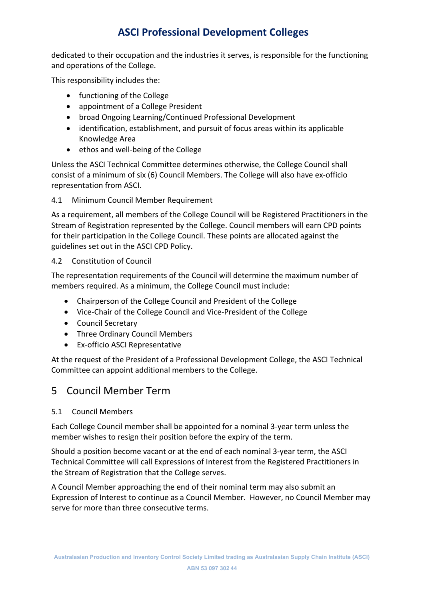dedicated to their occupation and the industries it serves, is responsible for the functioning and operations of the College.

This responsibility includes the:

- functioning of the College
- appointment of a College President
- broad Ongoing Learning/Continued Professional Development
- identification, establishment, and pursuit of focus areas within its applicable Knowledge Area
- ethos and well-being of the College

Unless the ASCI Technical Committee determines otherwise, the College Council shall consist of a minimum of six (6) Council Members. The College will also have ex-officio representation from ASCI.

4.1 Minimum Council Member Requirement

As a requirement, all members of the College Council will be Registered Practitioners in the Stream of Registration represented by the College. Council members will earn CPD points for their participation in the College Council. These points are allocated against the guidelines set out in the ASCI CPD Policy.

4.2 Constitution of Council

The representation requirements of the Council will determine the maximum number of members required. As a minimum, the College Council must include:

- Chairperson of the College Council and President of the College
- Vice-Chair of the College Council and Vice-President of the College
- Council Secretary
- Three Ordinary Council Members
- Ex-officio ASCI Representative

At the request of the President of a Professional Development College, the ASCI Technical Committee can appoint additional members to the College.

## 5 Council Member Term

#### 5.1 Council Members

Each College Council member shall be appointed for a nominal 3-year term unless the member wishes to resign their position before the expiry of the term.

Should a position become vacant or at the end of each nominal 3-year term, the ASCI Technical Committee will call Expressions of Interest from the Registered Practitioners in the Stream of Registration that the College serves.

A Council Member approaching the end of their nominal term may also submit an Expression of Interest to continue as a Council Member. However, no Council Member may serve for more than three consecutive terms.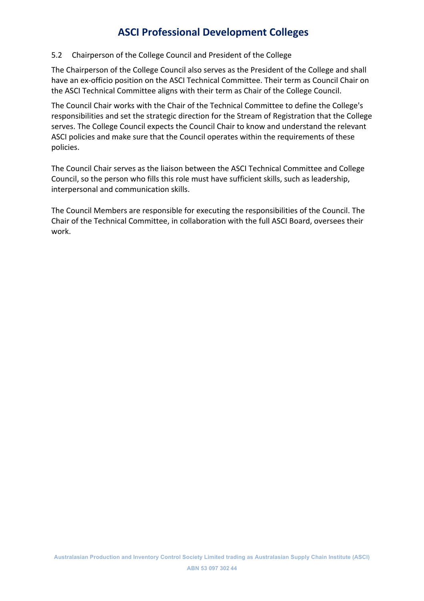### 5.2 Chairperson of the College Council and President of the College

The Chairperson of the College Council also serves as the President of the College and shall have an ex-officio position on the ASCI Technical Committee. Their term as Council Chair on the ASCI Technical Committee aligns with their term as Chair of the College Council.

The Council Chair works with the Chair of the Technical Committee to define the College's responsibilities and set the strategic direction for the Stream of Registration that the College serves. The College Council expects the Council Chair to know and understand the relevant ASCI policies and make sure that the Council operates within the requirements of these policies.

The Council Chair serves as the liaison between the ASCI Technical Committee and College Council, so the person who fills this role must have sufficient skills, such as leadership, interpersonal and communication skills.

The Council Members are responsible for executing the responsibilities of the Council. The Chair of the Technical Committee, in collaboration with the full ASCI Board, oversees their work.